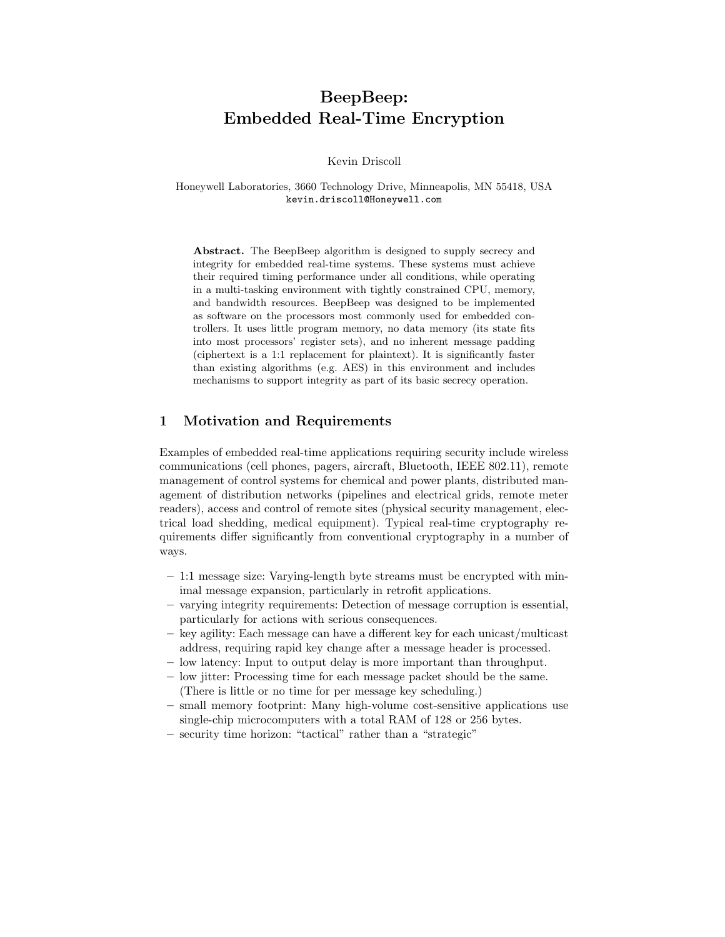# BeepBeep: Embedded Real-Time Encryption

#### Kevin Driscoll

Honeywell Laboratories, 3660 Technology Drive, Minneapolis, MN 55418, USA kevin.driscoll@Honeywell.com

Abstract. The BeepBeep algorithm is designed to supply secrecy and integrity for embedded real-time systems. These systems must achieve their required timing performance under all conditions, while operating in a multi-tasking environment with tightly constrained CPU, memory, and bandwidth resources. BeepBeep was designed to be implemented as software on the processors most commonly used for embedded controllers. It uses little program memory, no data memory (its state fits into most processors' register sets), and no inherent message padding (ciphertext is a 1:1 replacement for plaintext). It is significantly faster than existing algorithms (e.g. AES) in this environment and includes mechanisms to support integrity as part of its basic secrecy operation.

# 1 Motivation and Requirements

Examples of embedded real-time applications requiring security include wireless communications (cell phones, pagers, aircraft, Bluetooth, IEEE 802.11), remote management of control systems for chemical and power plants, distributed management of distribution networks (pipelines and electrical grids, remote meter readers), access and control of remote sites (physical security management, electrical load shedding, medical equipment). Typical real-time cryptography requirements differ significantly from conventional cryptography in a number of ways.

- $-1:1$  message size: Varying-length byte streams must be encrypted with minimal message expansion, particularly in retrofit applications.
- varying integrity requirements: Detection of message corruption is essential, particularly for actions with serious consequences.
- key agility: Each message can have a different key for each unicast/multicast address, requiring rapid key change after a message header is processed.
- low latency: Input to output delay is more important than throughput.
- low jitter: Processing time for each message packet should be the same. (There is little or no time for per message key scheduling.)
- small memory footprint: Many high-volume cost-sensitive applications use single-chip microcomputers with a total RAM of 128 or 256 bytes.
- security time horizon: "tactical" rather than a "strategic"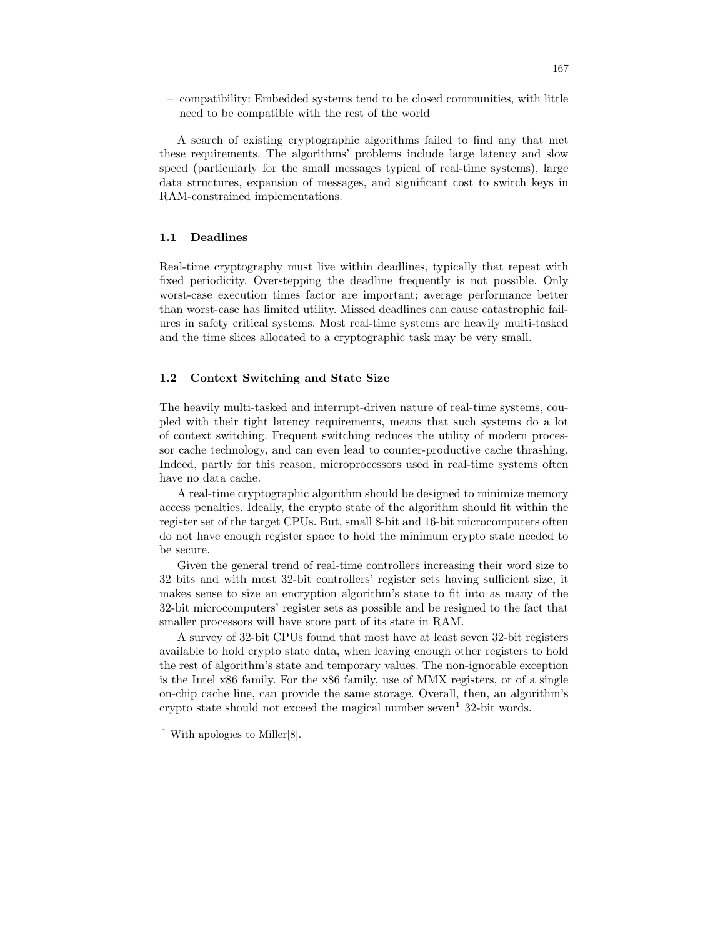– compatibility: Embedded systems tend to be closed communities, with little need to be compatible with the rest of the world

A search of existing cryptographic algorithms failed to find any that met these requirements. The algorithms' problems include large latency and slow speed (particularly for the small messages typical of real-time systems), large data structures, expansion of messages, and significant cost to switch keys in RAM-constrained implementations.

## 1.1 Deadlines

Real-time cryptography must live within deadlines, typically that repeat with fixed periodicity. Overstepping the deadline frequently is not possible. Only worst-case execution times factor are important; average performance better than worst-case has limited utility. Missed deadlines can cause catastrophic failures in safety critical systems. Most real-time systems are heavily multi-tasked and the time slices allocated to a cryptographic task may be very small.

## 1.2 Context Switching and State Size

The heavily multi-tasked and interrupt-driven nature of real-time systems, coupled with their tight latency requirements, means that such systems do a lot of context switching. Frequent switching reduces the utility of modern processor cache technology, and can even lead to counter-productive cache thrashing. Indeed, partly for this reason, microprocessors used in real-time systems often have no data cache.

A real-time cryptographic algorithm should be designed to minimize memory access penalties. Ideally, the crypto state of the algorithm should fit within the register set of the target CPUs. But, small 8-bit and 16-bit microcomputers often do not have enough register space to hold the minimum crypto state needed to be secure.

Given the general trend of real-time controllers increasing their word size to 32 bits and with most 32-bit controllers' register sets having sufficient size, it makes sense to size an encryption algorithm's state to fit into as many of the 32-bit microcomputers' register sets as possible and be resigned to the fact that smaller processors will have store part of its state in RAM.

A survey of 32-bit CPUs found that most have at least seven 32-bit registers available to hold crypto state data, when leaving enough other registers to hold the rest of algorithm's state and temporary values. The non-ignorable exception is the Intel x86 family. For the x86 family, use of MMX registers, or of a single on-chip cache line, can provide the same storage. Overall, then, an algorithm's crypto state should not exceed the magical number seven<sup>1</sup> 32-bit words.

<sup>&</sup>lt;sup>1</sup> With apologies to Miller<sup>[8]</sup>.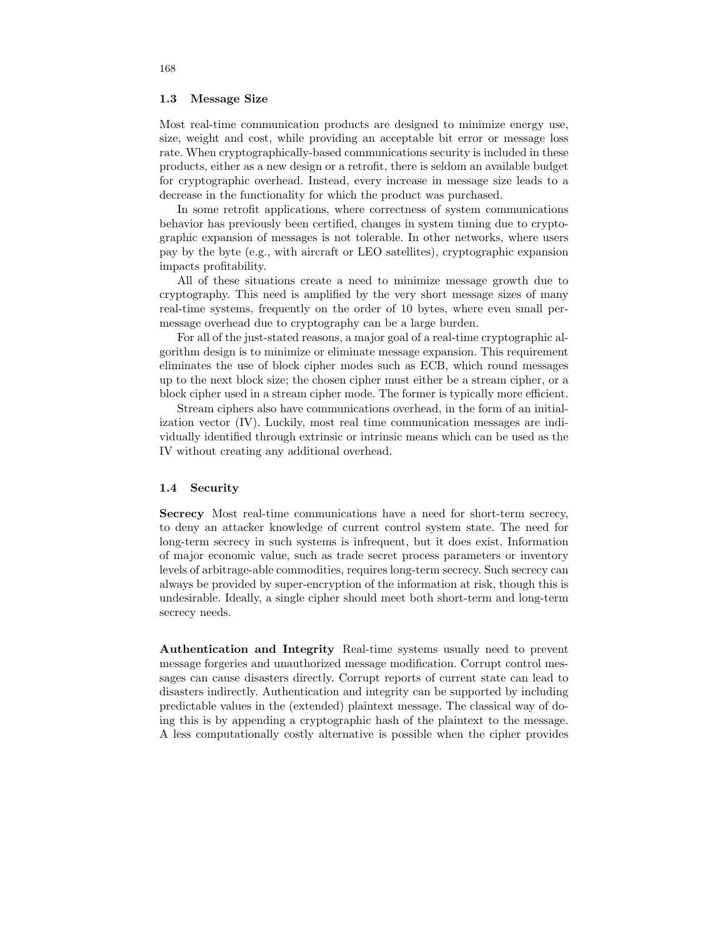#### 1.3 Message Size

Most real-time communication products are designed to minimize energy use, size, weight and cost, while providing an acceptable bit error or message loss rate. When cryptographically-based communications security is included in these products, either as a new design or a retrofit, there is seldom an available budget for cryptographic overhead. Instead, every increase in message size leads to a decrease in the functionality for which the product was purchased.

In some retrofit applications, where correctness of system communications behavior has previously been certified, changes in system timing due to cryptographic expansion of messages is not tolerable. In other networks, where users pay by the byte (e.g., with aircraft or LEO satellites), cryptographic expansion impacts profitability.

All of these situations create a need to minimize message growth due to cryptography. This need is amplified by the very short message sizes of many real-time systems, frequently on the order of 10 bytes, where even small permessage overhead due to cryptography can be a large burden.

For all of the just-stated reasons, a major goal of a real-time cryptographic algorithm design is to minimize or eliminate message expansion. This requirement eliminates the use of block cipher modes such as ECB, which round messages up to the next block size; the chosen cipher must either be a stream cipher, or a block cipher used in a stream cipher mode. The former is typically more efficient.

Stream ciphers also have communications overhead, in the form of an initialization vector (IV). Luckily, most real time communication messages are individually identified through extrinsic or intrinsic means which can be used as the IV without creating any additional overhead.

## 1.4 Security

Secrecy Most real-time communications have a need for short-term secrecy, to deny an attacker knowledge of current control system state. The need for long-term secrecy in such systems is infrequent, but it does exist. Information of major economic value, such as trade secret process parameters or inventory levels of arbitrage-able commodities, requires long-term secrecy. Such secrecy can always be provided by super-encryption of the information at risk, though this is undesirable. Ideally, a single cipher should meet both short-term and long-term secrecy needs.

Authentication and Integrity Real-time systems usually need to prevent message forgeries and unauthorized message modification. Corrupt control messages can cause disasters directly. Corrupt reports of current state can lead to disasters indirectly. Authentication and integrity can be supported by including predictable values in the (extended) plaintext message. The classical way of doing this is by appending a cryptographic hash of the plaintext to the message. A less computationally costly alternative is possible when the cipher provides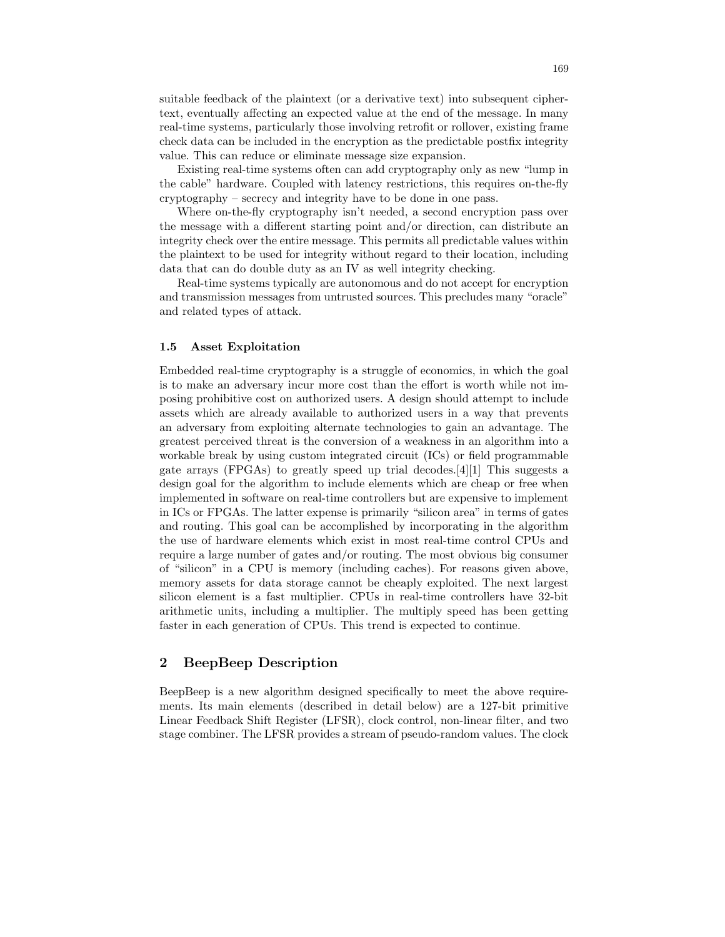suitable feedback of the plaintext (or a derivative text) into subsequent ciphertext, eventually affecting an expected value at the end of the message. In many real-time systems, particularly those involving retrofit or rollover, existing frame check data can be included in the encryption as the predictable postfix integrity value. This can reduce or eliminate message size expansion.

Existing real-time systems often can add cryptography only as new "lump in the cable" hardware. Coupled with latency restrictions, this requires on-the-fly cryptography – secrecy and integrity have to be done in one pass.

Where on-the-fly cryptography isn't needed, a second encryption pass over the message with a different starting point and/or direction, can distribute an integrity check over the entire message. This permits all predictable values within the plaintext to be used for integrity without regard to their location, including data that can do double duty as an IV as well integrity checking.

Real-time systems typically are autonomous and do not accept for encryption and transmission messages from untrusted sources. This precludes many "oracle" and related types of attack.

#### 1.5 Asset Exploitation

Embedded real-time cryptography is a struggle of economics, in which the goal is to make an adversary incur more cost than the effort is worth while not imposing prohibitive cost on authorized users. A design should attempt to include assets which are already available to authorized users in a way that prevents an adversary from exploiting alternate technologies to gain an advantage. The greatest perceived threat is the conversion of a weakness in an algorithm into a workable break by using custom integrated circuit (ICs) or field programmable gate arrays (FPGAs) to greatly speed up trial decodes.[4][1] This suggests a design goal for the algorithm to include elements which are cheap or free when implemented in software on real-time controllers but are expensive to implement in ICs or FPGAs. The latter expense is primarily "silicon area" in terms of gates and routing. This goal can be accomplished by incorporating in the algorithm the use of hardware elements which exist in most real-time control CPUs and require a large number of gates and/or routing. The most obvious big consumer of "silicon" in a CPU is memory (including caches). For reasons given above, memory assets for data storage cannot be cheaply exploited. The next largest silicon element is a fast multiplier. CPUs in real-time controllers have 32-bit arithmetic units, including a multiplier. The multiply speed has been getting faster in each generation of CPUs. This trend is expected to continue.

# 2 BeepBeep Description

BeepBeep is a new algorithm designed specifically to meet the above requirements. Its main elements (described in detail below) are a 127-bit primitive Linear Feedback Shift Register (LFSR), clock control, non-linear filter, and two stage combiner. The LFSR provides a stream of pseudo-random values. The clock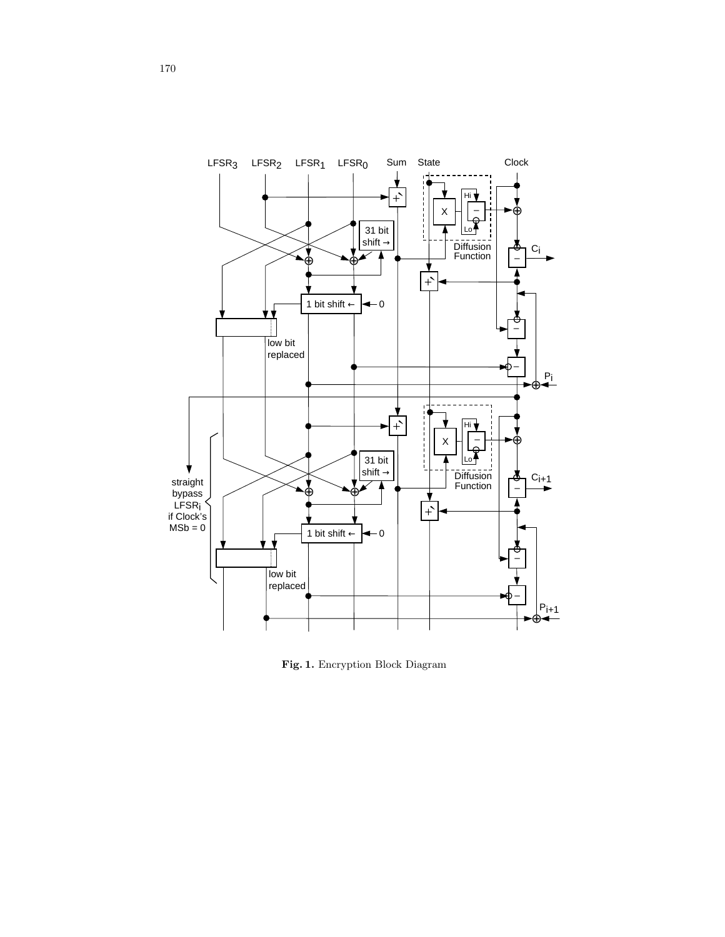

Fig. 1. Encryption Block Diagram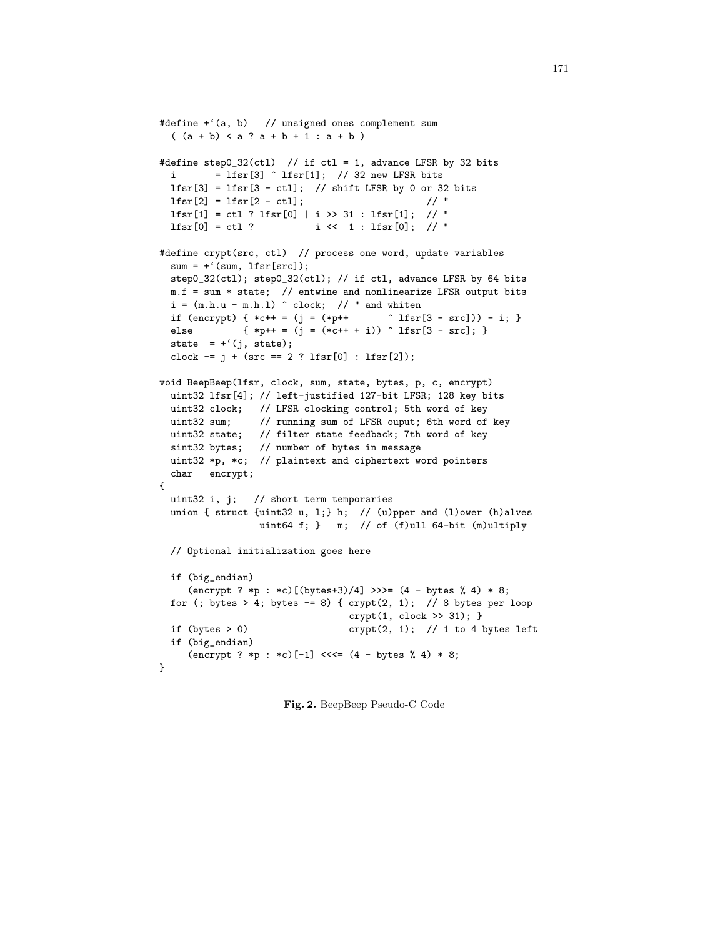```
#define +'(a, b) // unsigned ones complement sum
  ((a + b) < a ? a + b + 1 : a + b)#define step0_32(ctl) // if ctl = 1, advance LFSR by 32 bits
 i = lfsr[3] \hat{ } lfsr[1]; // 32 new LFSR bits
 lfsr[3] = lfsr[3 - ctl]; // shift LFSR by 0 or 32 bits
 lfsr[2] = lfsr[2 - ct1]; // "
 lfsr[1] = ctl ? lfsr[0] | i >> 31 : lfsr[1]; // "lfsr[0] = ctl ? i << 1 : lfsr[0]; // "
#define crypt(src, ctl) // process one word, update variables
 sum = +<sup>\cdot</sup>(sum, lfsr[src]);
 step0_32(ctl); step0_32(ctl); // if ctl, advance LFSR by 64 bits
 m.f = sum * state; // entwine and nonlinearize LFSR output bits
 i = (m.h.u - m.h.1) ^ clock; // " and whiten<br>if (encrypt) { *c++ = (j = (*p++ \hat{i} ^ 1fsr[3 - src])) - i; }
 if (encrypt) { *c++ = (j = (*p++)else { *p++ = (j = (*c++ + i)) ^ lfsr[3 - src]; }
 state = +'(j, state);
 clock -= j + (src == 2 ? 1fsr[0] : 1fsr[2]);void BeepBeep(lfsr, clock, sum, state, bytes, p, c, encrypt)
 uint32 lfsr[4]; // left-justified 127-bit LFSR; 128 key bits
 uint32 clock; // LFSR clocking control; 5th word of key
 uint32 sum; // running sum of LFSR ouput; 6th word of key
 uint32 state; // filter state feedback; 7th word of key
 sint32 bytes; // number of bytes in message
 uint32 *p, *c; // plaintext and ciphertext word pointers
 char encrypt;
{
 uint32 i, j; // short term temporaries
 union { struct {uint32 u, 1;} h; // (u)pper and (1)ower (h)alves
                 uint64 f; } m; // of (f)ull 64-bit (m)ultiply
 // Optional initialization goes here
 if (big_endian)
     (encrypt ? *p : *c)[(bytes+3)/4] >>>= (4 - bytes % 4) * 8;for (; bytes > 4; bytes -= 8) { crypt(2, 1); // 8 bytes per loop
                                 crypt(1, clock >> 31); }
 if (bytes > 0) crypt(2, 1); // 1 to 4 bytes left
 if (big_endian)
     (encrypt ? *p : *c)[-1] <<<= (4 - bytes % 4) * 8;}
```
Fig. 2. BeepBeep Pseudo-C Code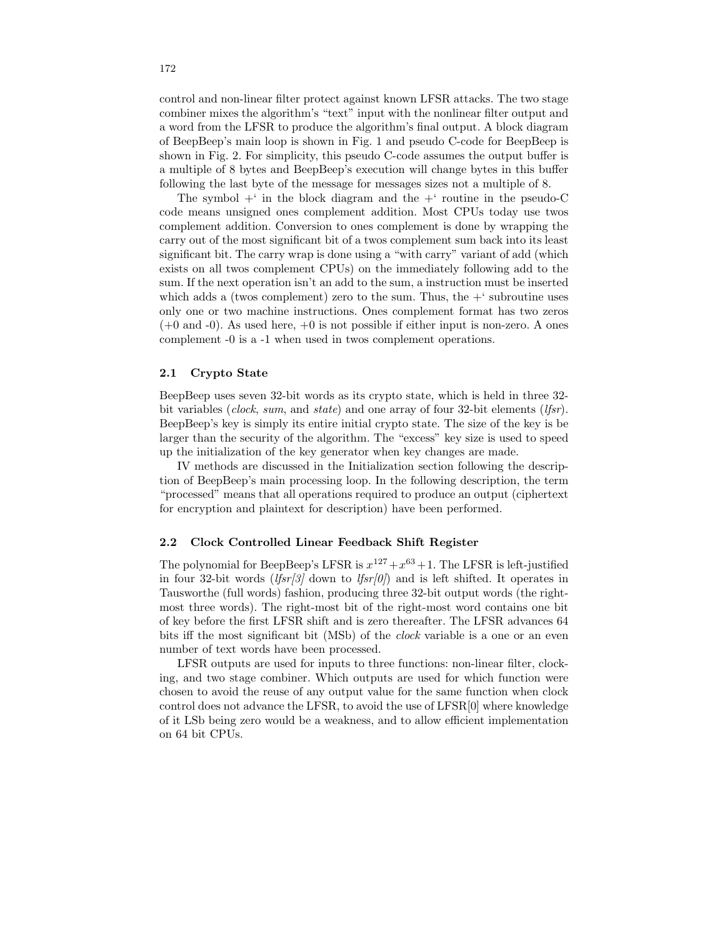control and non-linear filter protect against known LFSR attacks. The two stage combiner mixes the algorithm's "text" input with the nonlinear filter output and a word from the LFSR to produce the algorithm's final output. A block diagram of BeepBeep's main loop is shown in Fig. 1 and pseudo C-code for BeepBeep is shown in Fig. 2. For simplicity, this pseudo C-code assumes the output buffer is a multiple of 8 bytes and BeepBeep's execution will change bytes in this buffer following the last byte of the message for messages sizes not a multiple of 8.

The symbol  $+$  in the block diagram and the  $+$  routine in the pseudo-C code means unsigned ones complement addition. Most CPUs today use twos complement addition. Conversion to ones complement is done by wrapping the carry out of the most significant bit of a twos complement sum back into its least significant bit. The carry wrap is done using a "with carry" variant of add (which exists on all twos complement CPUs) on the immediately following add to the sum. If the next operation isn't an add to the sum, a instruction must be inserted which adds a (twos complement) zero to the sum. Thus, the  $+$  subroutine uses only one or two machine instructions. Ones complement format has two zeros  $(+0 \text{ and } -0)$ . As used here,  $+0$  is not possible if either input is non-zero. A ones complement -0 is a -1 when used in twos complement operations.

#### 2.1 Crypto State

BeepBeep uses seven 32-bit words as its crypto state, which is held in three 32 bit variables (clock, sum, and state) and one array of four 32-bit elements (lfsr). BeepBeep's key is simply its entire initial crypto state. The size of the key is be larger than the security of the algorithm. The "excess" key size is used to speed up the initialization of the key generator when key changes are made.

IV methods are discussed in the Initialization section following the description of BeepBeep's main processing loop. In the following description, the term "processed" means that all operations required to produce an output (ciphertext for encryption and plaintext for description) have been performed.

#### 2.2 Clock Controlled Linear Feedback Shift Register

The polynomial for BeepBeep's LFSR is  $x^{127} + x^{63} + 1$ . The LFSR is left-justified in four 32-bit words  $(lfsr/3)$  down to  $lfsr/0$ ) and is left shifted. It operates in Tausworthe (full words) fashion, producing three 32-bit output words (the rightmost three words). The right-most bit of the right-most word contains one bit of key before the first LFSR shift and is zero thereafter. The LFSR advances 64 bits iff the most significant bit (MSb) of the clock variable is a one or an even number of text words have been processed.

LFSR outputs are used for inputs to three functions: non-linear filter, clocking, and two stage combiner. Which outputs are used for which function were chosen to avoid the reuse of any output value for the same function when clock control does not advance the LFSR, to avoid the use of LFSR[0] where knowledge of it LSb being zero would be a weakness, and to allow efficient implementation on 64 bit CPUs.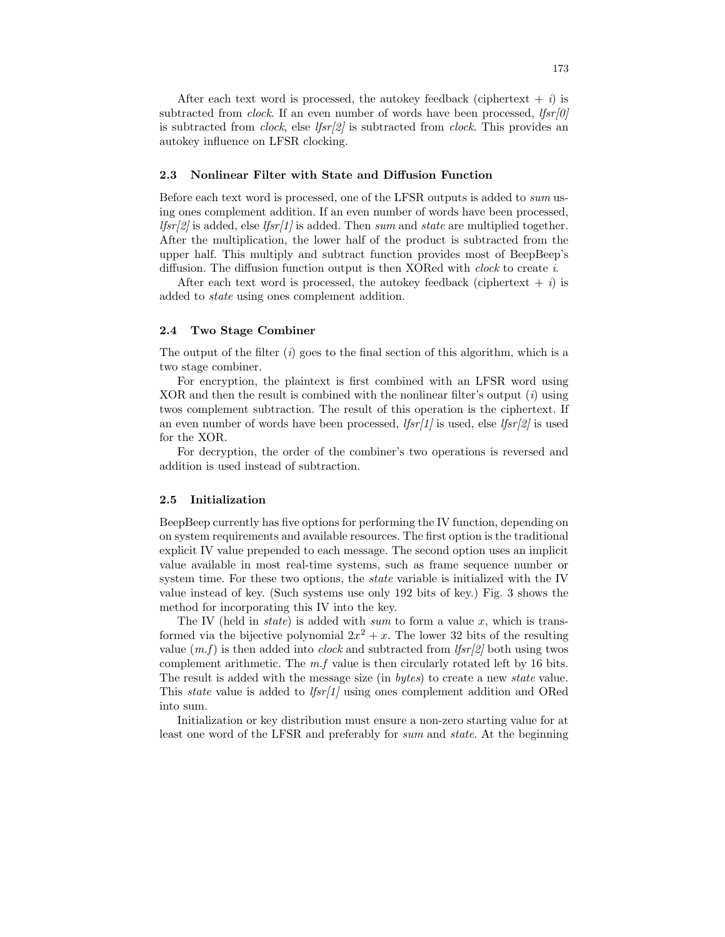After each text word is processed, the autokey feedback (ciphertext  $+ i$ ) is subtracted from *clock*. If an even number of words have been processed,  $lfsr[0]$ is subtracted from *clock*, else *lfsr* $|2|$  is subtracted from *clock*. This provides an autokey influence on LFSR clocking.

#### 2.3 Nonlinear Filter with State and Diffusion Function

Before each text word is processed, one of the LFSR outputs is added to sum using ones complement addition. If an even number of words have been processed,  $lfsr[2]$  is added, else  $lfsr[1]$  is added. Then sum and state are multiplied together. After the multiplication, the lower half of the product is subtracted from the upper half. This multiply and subtract function provides most of BeepBeep's diffusion. The diffusion function output is then XORed with *clock* to create i.

After each text word is processed, the autokey feedback (ciphertext  $+ i$ ) is added to state using ones complement addition.

### 2.4 Two Stage Combiner

The output of the filter  $(i)$  goes to the final section of this algorithm, which is a two stage combiner.

For encryption, the plaintext is first combined with an LFSR word using  $XOR$  and then the result is combined with the nonlinear filter's output  $(i)$  using twos complement subtraction. The result of this operation is the ciphertext. If an even number of words have been processed,  $lfsr/1/s$  is used, else  $lfsr/2/s$  is used for the XOR.

For decryption, the order of the combiner's two operations is reversed and addition is used instead of subtraction.

#### 2.5 Initialization

BeepBeep currently has five options for performing the IV function, depending on on system requirements and available resources. The first option is the traditional explicit IV value prepended to each message. The second option uses an implicit value available in most real-time systems, such as frame sequence number or system time. For these two options, the *state* variable is initialized with the IV value instead of key. (Such systems use only 192 bits of key.) Fig. 3 shows the method for incorporating this IV into the key.

The IV (held in *state*) is added with *sum* to form a value x, which is transformed via the bijective polynomial  $2x^2 + x$ . The lower 32 bits of the resulting value  $(m.f)$  is then added into *clock* and subtracted from *lfsr[2]* both using twos complement arithmetic. The  $m.f$  value is then circularly rotated left by 16 bits. The result is added with the message size (in bytes) to create a new *state* value. This *state* value is added to *lfsr[1]* using ones complement addition and ORed into sum.

Initialization or key distribution must ensure a non-zero starting value for at least one word of the LFSR and preferably for sum and state. At the beginning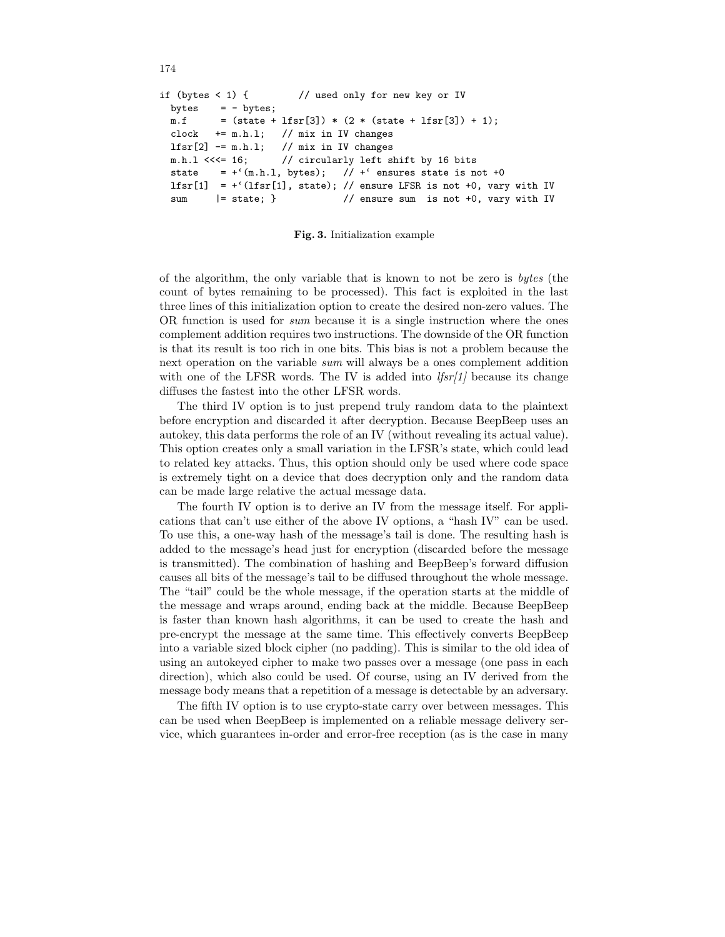```
if (bytes < 1) { // used only for new key or IV
 b<sup>= - b</sup>vtes:
 m.f = (state + 1fsr[3]) * (2 * (state + 1fsr[3]) + 1);clock += m.h.l; // mix in IV changes
 lfsr[2] -= m.h.1; // mix in IV changes
 m.h.l <<<= 16; // circularly left shift by 16 bits
 state = f'(m.h.1, bytes); // f'(m.s) ensures state is not f(0)lfsr[1] = +'(lfsr[1], state); // ensure LFSR is not +0, vary with IVsum | = state; } // ensure sum is not +0, vary with IV
```
174

Fig. 3. Initialization example

of the algorithm, the only variable that is known to not be zero is bytes (the count of bytes remaining to be processed). This fact is exploited in the last three lines of this initialization option to create the desired non-zero values. The OR function is used for sum because it is a single instruction where the ones complement addition requires two instructions. The downside of the OR function is that its result is too rich in one bits. This bias is not a problem because the next operation on the variable sum will always be a ones complement addition with one of the LFSR words. The IV is added into  $lfsr/l$  because its change diffuses the fastest into the other LFSR words.

The third IV option is to just prepend truly random data to the plaintext before encryption and discarded it after decryption. Because BeepBeep uses an autokey, this data performs the role of an IV (without revealing its actual value). This option creates only a small variation in the LFSR's state, which could lead to related key attacks. Thus, this option should only be used where code space is extremely tight on a device that does decryption only and the random data can be made large relative the actual message data.

The fourth IV option is to derive an IV from the message itself. For applications that can't use either of the above IV options, a "hash IV" can be used. To use this, a one-way hash of the message's tail is done. The resulting hash is added to the message's head just for encryption (discarded before the message is transmitted). The combination of hashing and BeepBeep's forward diffusion causes all bits of the message's tail to be diffused throughout the whole message. The "tail" could be the whole message, if the operation starts at the middle of the message and wraps around, ending back at the middle. Because BeepBeep is faster than known hash algorithms, it can be used to create the hash and pre-encrypt the message at the same time. This effectively converts BeepBeep into a variable sized block cipher (no padding). This is similar to the old idea of using an autokeyed cipher to make two passes over a message (one pass in each direction), which also could be used. Of course, using an IV derived from the message body means that a repetition of a message is detectable by an adversary.

The fifth IV option is to use crypto-state carry over between messages. This can be used when BeepBeep is implemented on a reliable message delivery service, which guarantees in-order and error-free reception (as is the case in many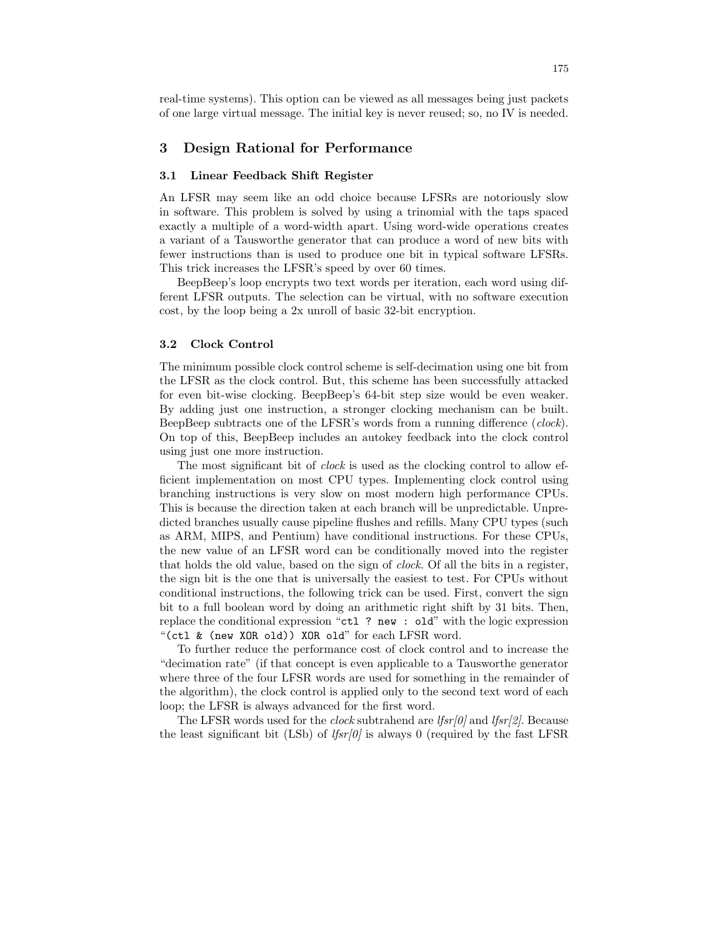real-time systems). This option can be viewed as all messages being just packets of one large virtual message. The initial key is never reused; so, no IV is needed.

## 3 Design Rational for Performance

## 3.1 Linear Feedback Shift Register

An LFSR may seem like an odd choice because LFSRs are notoriously slow in software. This problem is solved by using a trinomial with the taps spaced exactly a multiple of a word-width apart. Using word-wide operations creates a variant of a Tausworthe generator that can produce a word of new bits with fewer instructions than is used to produce one bit in typical software LFSRs. This trick increases the LFSR's speed by over 60 times.

BeepBeep's loop encrypts two text words per iteration, each word using different LFSR outputs. The selection can be virtual, with no software execution cost, by the loop being a 2x unroll of basic 32-bit encryption.

## 3.2 Clock Control

The minimum possible clock control scheme is self-decimation using one bit from the LFSR as the clock control. But, this scheme has been successfully attacked for even bit-wise clocking. BeepBeep's 64-bit step size would be even weaker. By adding just one instruction, a stronger clocking mechanism can be built. BeepBeep subtracts one of the LFSR's words from a running difference (clock). On top of this, BeepBeep includes an autokey feedback into the clock control using just one more instruction.

The most significant bit of *clock* is used as the clocking control to allow efficient implementation on most CPU types. Implementing clock control using branching instructions is very slow on most modern high performance CPUs. This is because the direction taken at each branch will be unpredictable. Unpredicted branches usually cause pipeline flushes and refills. Many CPU types (such as ARM, MIPS, and Pentium) have conditional instructions. For these CPUs, the new value of an LFSR word can be conditionally moved into the register that holds the old value, based on the sign of clock. Of all the bits in a register, the sign bit is the one that is universally the easiest to test. For CPUs without conditional instructions, the following trick can be used. First, convert the sign bit to a full boolean word by doing an arithmetic right shift by 31 bits. Then, replace the conditional expression "ctl ? new : old" with the logic expression "(ctl & (new XOR old)) XOR old" for each LFSR word.

To further reduce the performance cost of clock control and to increase the "decimation rate" (if that concept is even applicable to a Tausworthe generator where three of the four LFSR words are used for something in the remainder of the algorithm), the clock control is applied only to the second text word of each loop; the LFSR is always advanced for the first word.

The LFSR words used for the *clock* subtrahend are  $lfsr[0]$  and  $lfsr[2]$ . Because the least significant bit (LSb) of  $lfsr[0]$  is always 0 (required by the fast LFSR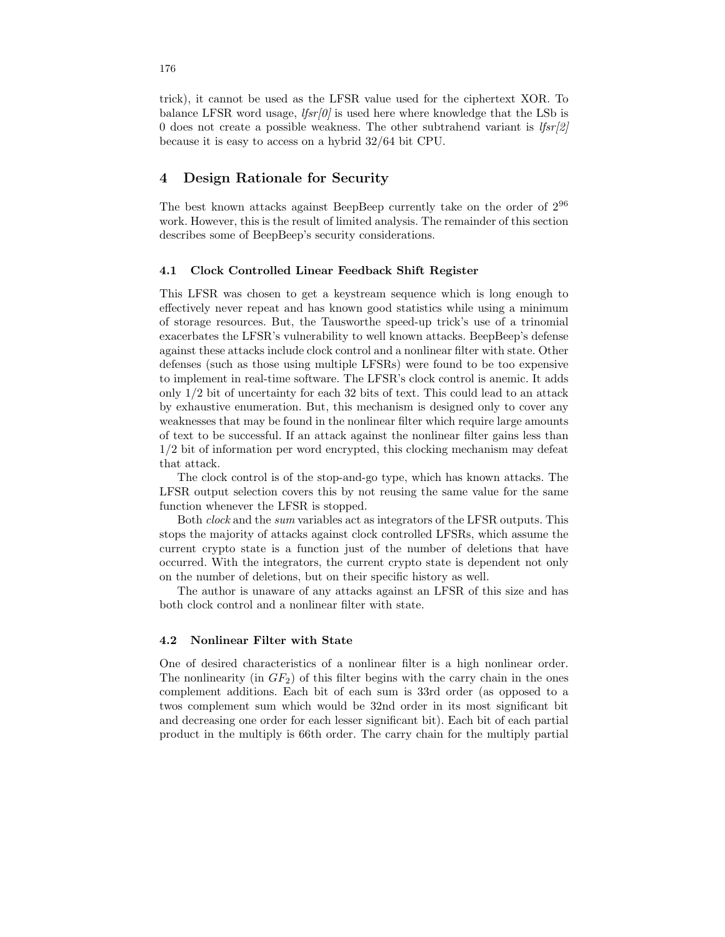trick), it cannot be used as the LFSR value used for the ciphertext XOR. To balance LFSR word usage,  $lfsr[0]$  is used here where knowledge that the LSb is 0 does not create a possible weakness. The other subtrahend variant is  $lfsr/2l$ because it is easy to access on a hybrid 32/64 bit CPU.

# 4 Design Rationale for Security

The best known attacks against BeepBeep currently take on the order of  $2^{96}$ work. However, this is the result of limited analysis. The remainder of this section describes some of BeepBeep's security considerations.

#### 4.1 Clock Controlled Linear Feedback Shift Register

This LFSR was chosen to get a keystream sequence which is long enough to effectively never repeat and has known good statistics while using a minimum of storage resources. But, the Tausworthe speed-up trick's use of a trinomial exacerbates the LFSR's vulnerability to well known attacks. BeepBeep's defense against these attacks include clock control and a nonlinear filter with state. Other defenses (such as those using multiple LFSRs) were found to be too expensive to implement in real-time software. The LFSR's clock control is anemic. It adds only  $1/2$  bit of uncertainty for each 32 bits of text. This could lead to an attack by exhaustive enumeration. But, this mechanism is designed only to cover any weaknesses that may be found in the nonlinear filter which require large amounts of text to be successful. If an attack against the nonlinear filter gains less than 1/2 bit of information per word encrypted, this clocking mechanism may defeat that attack.

The clock control is of the stop-and-go type, which has known attacks. The LFSR output selection covers this by not reusing the same value for the same function whenever the LFSR is stopped.

Both clock and the sum variables act as integrators of the LFSR outputs. This stops the majority of attacks against clock controlled LFSRs, which assume the current crypto state is a function just of the number of deletions that have occurred. With the integrators, the current crypto state is dependent not only on the number of deletions, but on their specific history as well.

The author is unaware of any attacks against an LFSR of this size and has both clock control and a nonlinear filter with state.

#### 4.2 Nonlinear Filter with State

One of desired characteristics of a nonlinear filter is a high nonlinear order. The nonlinearity (in  $GF_2$ ) of this filter begins with the carry chain in the ones complement additions. Each bit of each sum is 33rd order (as opposed to a twos complement sum which would be 32nd order in its most significant bit and decreasing one order for each lesser significant bit). Each bit of each partial product in the multiply is 66th order. The carry chain for the multiply partial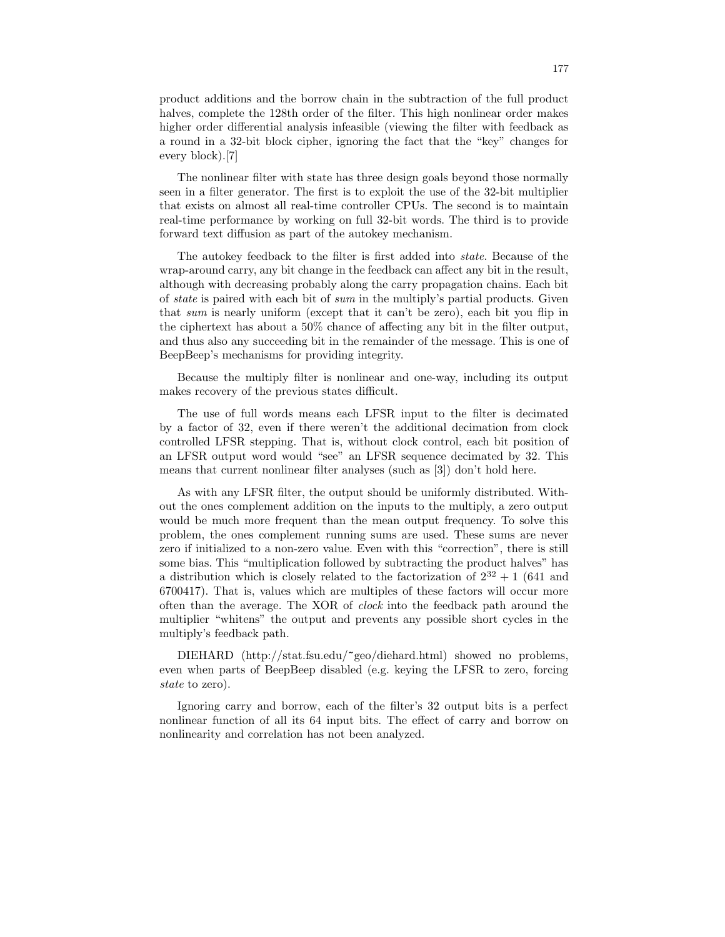product additions and the borrow chain in the subtraction of the full product halves, complete the 128th order of the filter. This high nonlinear order makes higher order differential analysis infeasible (viewing the filter with feedback as a round in a 32-bit block cipher, ignoring the fact that the "key" changes for every block).[7]

The nonlinear filter with state has three design goals beyond those normally seen in a filter generator. The first is to exploit the use of the 32-bit multiplier that exists on almost all real-time controller CPUs. The second is to maintain real-time performance by working on full 32-bit words. The third is to provide forward text diffusion as part of the autokey mechanism.

The autokey feedback to the filter is first added into state. Because of the wrap-around carry, any bit change in the feedback can affect any bit in the result, although with decreasing probably along the carry propagation chains. Each bit of state is paired with each bit of sum in the multiply's partial products. Given that sum is nearly uniform (except that it can't be zero), each bit you flip in the ciphertext has about a 50% chance of affecting any bit in the filter output, and thus also any succeeding bit in the remainder of the message. This is one of BeepBeep's mechanisms for providing integrity.

Because the multiply filter is nonlinear and one-way, including its output makes recovery of the previous states difficult.

The use of full words means each LFSR input to the filter is decimated by a factor of 32, even if there weren't the additional decimation from clock controlled LFSR stepping. That is, without clock control, each bit position of an LFSR output word would "see" an LFSR sequence decimated by 32. This means that current nonlinear filter analyses (such as [3]) don't hold here.

As with any LFSR filter, the output should be uniformly distributed. Without the ones complement addition on the inputs to the multiply, a zero output would be much more frequent than the mean output frequency. To solve this problem, the ones complement running sums are used. These sums are never zero if initialized to a non-zero value. Even with this "correction", there is still some bias. This "multiplication followed by subtracting the product halves" has a distribution which is closely related to the factorization of  $2^{32} + 1$  (641 and 6700417). That is, values which are multiples of these factors will occur more often than the average. The XOR of clock into the feedback path around the multiplier "whitens" the output and prevents any possible short cycles in the multiply's feedback path.

DIEHARD (http://stat.fsu.edu/~geo/diehard.html) showed no problems, even when parts of BeepBeep disabled (e.g. keying the LFSR to zero, forcing state to zero).

Ignoring carry and borrow, each of the filter's 32 output bits is a perfect nonlinear function of all its 64 input bits. The effect of carry and borrow on nonlinearity and correlation has not been analyzed.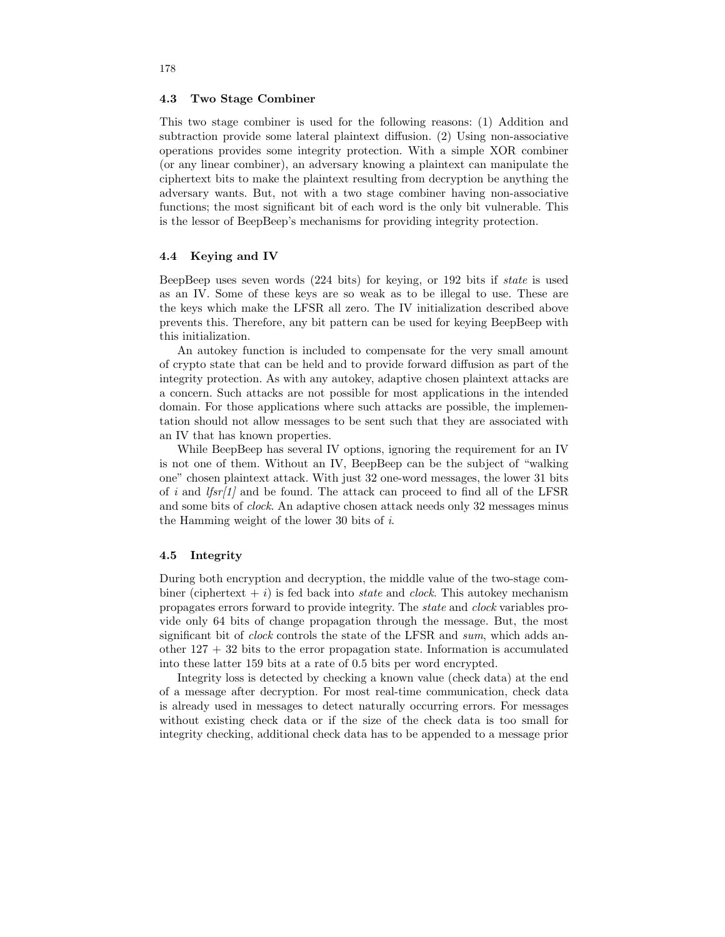#### 4.3 Two Stage Combiner

This two stage combiner is used for the following reasons: (1) Addition and subtraction provide some lateral plaintext diffusion. (2) Using non-associative operations provides some integrity protection. With a simple XOR combiner (or any linear combiner), an adversary knowing a plaintext can manipulate the ciphertext bits to make the plaintext resulting from decryption be anything the adversary wants. But, not with a two stage combiner having non-associative functions; the most significant bit of each word is the only bit vulnerable. This is the lessor of BeepBeep's mechanisms for providing integrity protection.

#### 4.4 Keying and IV

BeepBeep uses seven words (224 bits) for keying, or 192 bits if state is used as an IV. Some of these keys are so weak as to be illegal to use. These are the keys which make the LFSR all zero. The IV initialization described above prevents this. Therefore, any bit pattern can be used for keying BeepBeep with this initialization.

An autokey function is included to compensate for the very small amount of crypto state that can be held and to provide forward diffusion as part of the integrity protection. As with any autokey, adaptive chosen plaintext attacks are a concern. Such attacks are not possible for most applications in the intended domain. For those applications where such attacks are possible, the implementation should not allow messages to be sent such that they are associated with an IV that has known properties.

While BeepBeep has several IV options, ignoring the requirement for an IV is not one of them. Without an IV, BeepBeep can be the subject of "walking one" chosen plaintext attack. With just 32 one-word messages, the lower 31 bits of i and  $lfsr/1$  and be found. The attack can proceed to find all of the LFSR and some bits of clock. An adaptive chosen attack needs only 32 messages minus the Hamming weight of the lower 30 bits of i.

#### 4.5 Integrity

During both encryption and decryption, the middle value of the two-stage combiner (ciphertext  $+ i$ ) is fed back into *state* and *clock*. This autokey mechanism propagates errors forward to provide integrity. The state and clock variables provide only 64 bits of change propagation through the message. But, the most significant bit of *clock* controls the state of the LFSR and sum, which adds another  $127 + 32$  bits to the error propagation state. Information is accumulated into these latter 159 bits at a rate of 0.5 bits per word encrypted.

Integrity loss is detected by checking a known value (check data) at the end of a message after decryption. For most real-time communication, check data is already used in messages to detect naturally occurring errors. For messages without existing check data or if the size of the check data is too small for integrity checking, additional check data has to be appended to a message prior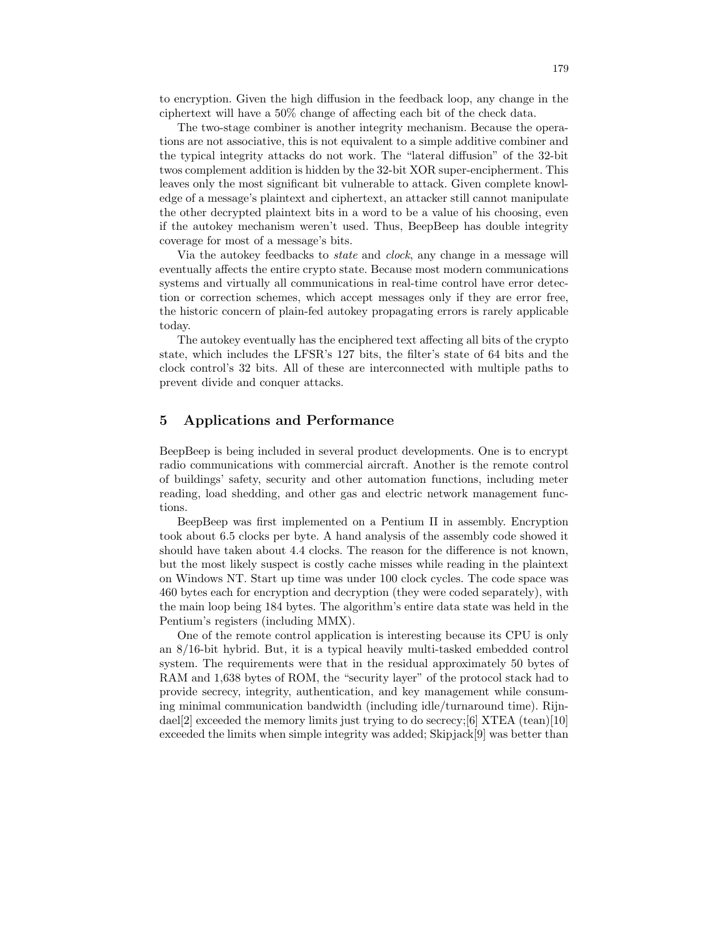to encryption. Given the high diffusion in the feedback loop, any change in the ciphertext will have a 50% change of affecting each bit of the check data.

The two-stage combiner is another integrity mechanism. Because the operations are not associative, this is not equivalent to a simple additive combiner and the typical integrity attacks do not work. The "lateral diffusion" of the 32-bit twos complement addition is hidden by the 32-bit XOR super-encipherment. This leaves only the most significant bit vulnerable to attack. Given complete knowledge of a message's plaintext and ciphertext, an attacker still cannot manipulate the other decrypted plaintext bits in a word to be a value of his choosing, even if the autokey mechanism weren't used. Thus, BeepBeep has double integrity coverage for most of a message's bits.

Via the autokey feedbacks to state and clock, any change in a message will eventually affects the entire crypto state. Because most modern communications systems and virtually all communications in real-time control have error detection or correction schemes, which accept messages only if they are error free, the historic concern of plain-fed autokey propagating errors is rarely applicable today.

The autokey eventually has the enciphered text affecting all bits of the crypto state, which includes the LFSR's 127 bits, the filter's state of 64 bits and the clock control's 32 bits. All of these are interconnected with multiple paths to prevent divide and conquer attacks.

## 5 Applications and Performance

BeepBeep is being included in several product developments. One is to encrypt radio communications with commercial aircraft. Another is the remote control of buildings' safety, security and other automation functions, including meter reading, load shedding, and other gas and electric network management functions.

BeepBeep was first implemented on a Pentium II in assembly. Encryption took about 6.5 clocks per byte. A hand analysis of the assembly code showed it should have taken about 4.4 clocks. The reason for the difference is not known, but the most likely suspect is costly cache misses while reading in the plaintext on Windows NT. Start up time was under 100 clock cycles. The code space was 460 bytes each for encryption and decryption (they were coded separately), with the main loop being 184 bytes. The algorithm's entire data state was held in the Pentium's registers (including MMX).

One of the remote control application is interesting because its CPU is only an 8/16-bit hybrid. But, it is a typical heavily multi-tasked embedded control system. The requirements were that in the residual approximately 50 bytes of RAM and 1,638 bytes of ROM, the "security layer" of the protocol stack had to provide secrecy, integrity, authentication, and key management while consuming minimal communication bandwidth (including idle/turnaround time). Rijndael[2] exceeded the memory limits just trying to do secrecy;[6] XTEA (tean)[10] exceeded the limits when simple integrity was added; Skipjack[9] was better than